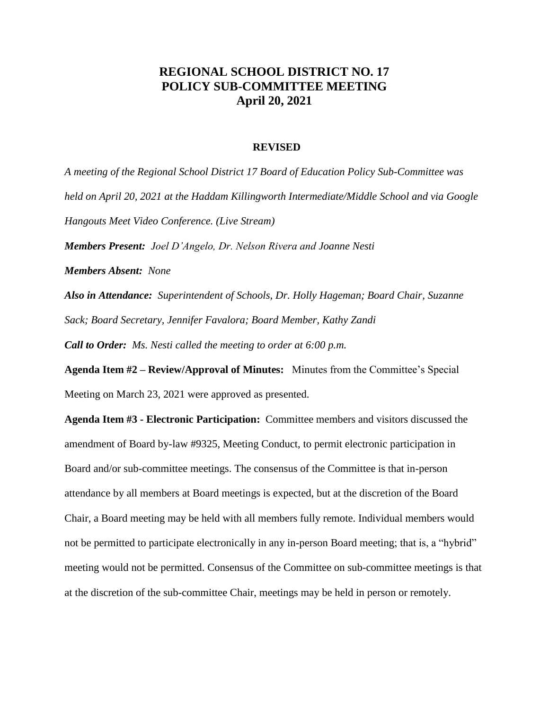## **REGIONAL SCHOOL DISTRICT NO. 17 POLICY SUB-COMMITTEE MEETING April 20, 2021**

## **REVISED**

*A meeting of the Regional School District 17 Board of Education Policy Sub-Committee was held on April 20, 2021 at the Haddam Killingworth Intermediate/Middle School and via Google Hangouts Meet Video Conference. (Live Stream) Members Present: Joel D'Angelo, Dr. Nelson Rivera and Joanne Nesti Members Absent: None Also in Attendance: Superintendent of Schools, Dr. Holly Hageman; Board Chair, Suzanne Sack; Board Secretary, Jennifer Favalora; Board Member, Kathy Zandi Call to Order: Ms. Nesti called the meeting to order at 6:00 p.m.* **Agenda Item #2 – Review/Approval of Minutes:** Minutes from the Committee's Special Meeting on March 23, 2021 were approved as presented. **Agenda Item #3 - Electronic Participation:** Committee members and visitors discussed the amendment of Board by-law #9325, Meeting Conduct, to permit electronic participation in Board and/or sub-committee meetings. The consensus of the Committee is that in-person attendance by all members at Board meetings is expected, but at the discretion of the Board Chair, a Board meeting may be held with all members fully remote. Individual members would not be permitted to participate electronically in any in-person Board meeting; that is, a "hybrid" meeting would not be permitted. Consensus of the Committee on sub-committee meetings is that at the discretion of the sub-committee Chair, meetings may be held in person or remotely.